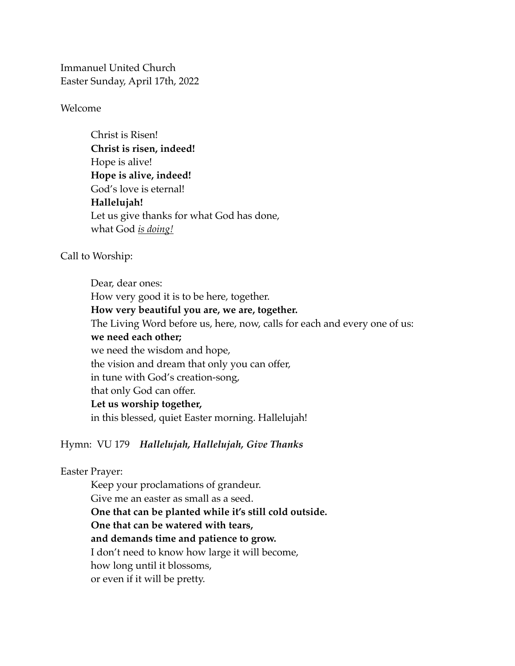Immanuel United Church Easter Sunday, April 17th, 2022

#### Welcome

Christ is Risen! **Christ is risen, indeed!** Hope is alive! **Hope is alive, indeed!** God's love is eternal! **Hallelujah!** Let us give thanks for what God has done, what God *is doing!* 

### Call to Worship:

Dear, dear ones: How very good it is to be here, together. **How very beautiful you are, we are, together.** The Living Word before us, here, now, calls for each and every one of us: **we need each other;** we need the wisdom and hope, the vision and dream that only you can offer, in tune with God's creation-song, that only God can offer. **Let us worship together,**  in this blessed, quiet Easter morning. Hallelujah!

Hymn: VU 179 *Hallelujah, Hallelujah, Give Thanks* 

### Easter Prayer:

Keep your proclamations of grandeur. Give me an easter as small as a seed. **One that can be planted while it's still cold outside. One that can be watered with tears, and demands time and patience to grow.** I don't need to know how large it will become, how long until it blossoms, or even if it will be pretty.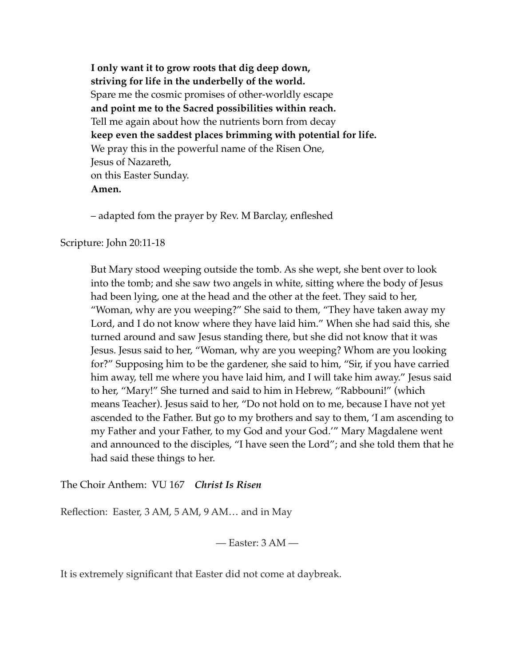**I only want it to grow roots that dig deep down, striving for life in the underbelly of the world.** Spare me the cosmic promises of other-worldly escape **and point me to the Sacred possibilities within reach.** Tell me again about how the nutrients born from decay **keep even the saddest places brimming with potential for life.** We pray this in the powerful name of the Risen One, Jesus of Nazareth, on this Easter Sunday. **Amen.**

– adapted fom the prayer by Rev. M Barclay, enfleshed

Scripture: John 20:11-18

But Mary stood weeping outside the tomb. As she wept, she bent over to look into the tomb; and she saw two angels in white, sitting where the body of Jesus had been lying, one at the head and the other at the feet. They said to her, "Woman, why are you weeping?" She said to them, "They have taken away my Lord, and I do not know where they have laid him." When she had said this, she turned around and saw Jesus standing there, but she did not know that it was Jesus. Jesus said to her, "Woman, why are you weeping? Whom are you looking for?" Supposing him to be the gardener, she said to him, "Sir, if you have carried him away, tell me where you have laid him, and I will take him away." Jesus said to her, "Mary!" She turned and said to him in Hebrew, "Rabbouni!" (which means Teacher). Jesus said to her, "Do not hold on to me, because I have not yet ascended to the Father. But go to my brothers and say to them, 'I am ascending to my Father and your Father, to my God and your God.'" Mary Magdalene went and announced to the disciples, "I have seen the Lord"; and she told them that he had said these things to her.

The Choir Anthem: VU 167 *Christ Is Risen* 

Reflection: Easter, 3 AM, 5 AM, 9 AM… and in May

— Easter: 3 AM —

It is extremely significant that Easter did not come at daybreak.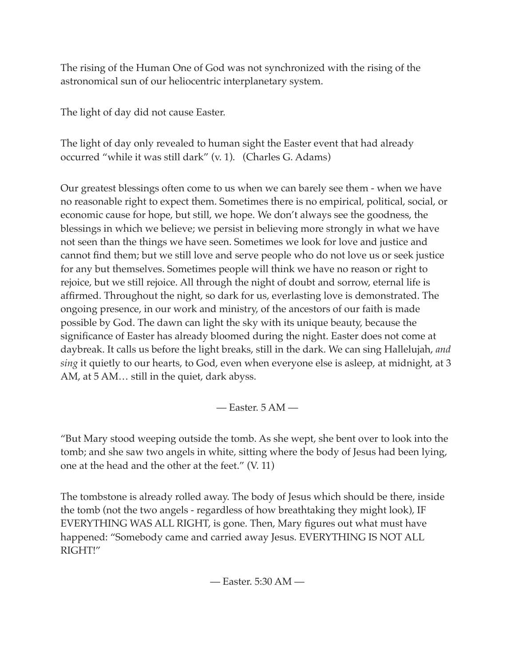The rising of the Human One of God was not synchronized with the rising of the astronomical sun of our heliocentric interplanetary system.

The light of day did not cause Easter.

The light of day only revealed to human sight the Easter event that had already occurred "while it was still dark" (v. 1). (Charles G. Adams)

Our greatest blessings often come to us when we can barely see them - when we have no reasonable right to expect them. Sometimes there is no empirical, political, social, or economic cause for hope, but still, we hope. We don't always see the goodness, the blessings in which we believe; we persist in believing more strongly in what we have not seen than the things we have seen. Sometimes we look for love and justice and cannot find them; but we still love and serve people who do not love us or seek justice for any but themselves. Sometimes people will think we have no reason or right to rejoice, but we still rejoice. All through the night of doubt and sorrow, eternal life is affirmed. Throughout the night, so dark for us, everlasting love is demonstrated. The ongoing presence, in our work and ministry, of the ancestors of our faith is made possible by God. The dawn can light the sky with its unique beauty, because the significance of Easter has already bloomed during the night. Easter does not come at daybreak. It calls us before the light breaks, still in the dark. We can sing Hallelujah, *and sing* it quietly to our hearts, to God, even when everyone else is asleep, at midnight, at 3 AM, at 5 AM… still in the quiet, dark abyss.

— Easter. 5 AM —

"But Mary stood weeping outside the tomb. As she wept, she bent over to look into the tomb; and she saw two angels in white, sitting where the body of Jesus had been lying, one at the head and the other at the feet." (V. 11)

The tombstone is already rolled away. The body of Jesus which should be there, inside the tomb (not the two angels - regardless of how breathtaking they might look), IF EVERYTHING WAS ALL RIGHT, is gone. Then, Mary figures out what must have happened: "Somebody came and carried away Jesus. EVERYTHING IS NOT ALL RIGHT!"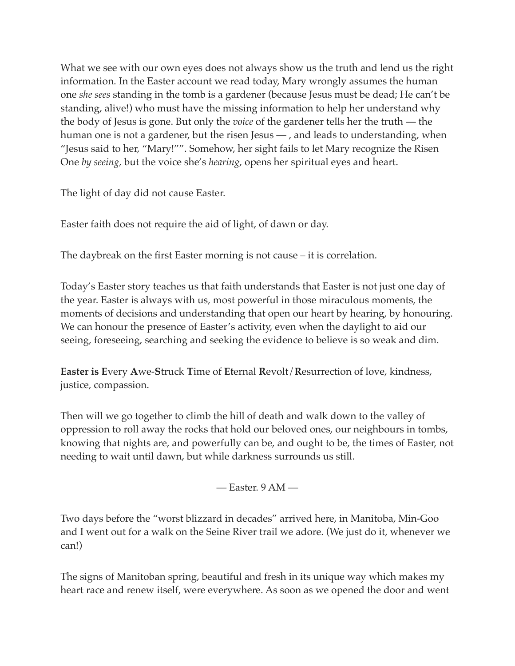What we see with our own eyes does not always show us the truth and lend us the right information. In the Easter account we read today, Mary wrongly assumes the human one *she sees* standing in the tomb is a gardener (because Jesus must be dead; He can't be standing, alive!) who must have the missing information to help her understand why the body of Jesus is gone. But only the *voice* of the gardener tells her the truth — the human one is not a gardener, but the risen Jesus — , and leads to understanding, when "Jesus said to her, "Mary!"". Somehow, her sight fails to let Mary recognize the Risen One *by seeing,* but the voice she's *hearing*, opens her spiritual eyes and heart.

The light of day did not cause Easter.

Easter faith does not require the aid of light, of dawn or day.

The daybreak on the first Easter morning is not cause – it is correlation.

Today's Easter story teaches us that faith understands that Easter is not just one day of the year. Easter is always with us, most powerful in those miraculous moments, the moments of decisions and understanding that open our heart by hearing, by honouring. We can honour the presence of Easter's activity, even when the daylight to aid our seeing, foreseeing, searching and seeking the evidence to believe is so weak and dim.

**Easter is E**very **A**we-**S**truck **T**ime of **Et**ernal **R**evolt/**R**esurrection of love, kindness, justice, compassion.

Then will we go together to climb the hill of death and walk down to the valley of oppression to roll away the rocks that hold our beloved ones, our neighbours in tombs, knowing that nights are, and powerfully can be, and ought to be, the times of Easter, not needing to wait until dawn, but while darkness surrounds us still.

— Easter. 9 AM —

Two days before the "worst blizzard in decades" arrived here, in Manitoba, Min-Goo and I went out for a walk on the Seine River trail we adore. (We just do it, whenever we can!)

The signs of Manitoban spring, beautiful and fresh in its unique way which makes my heart race and renew itself, were everywhere. As soon as we opened the door and went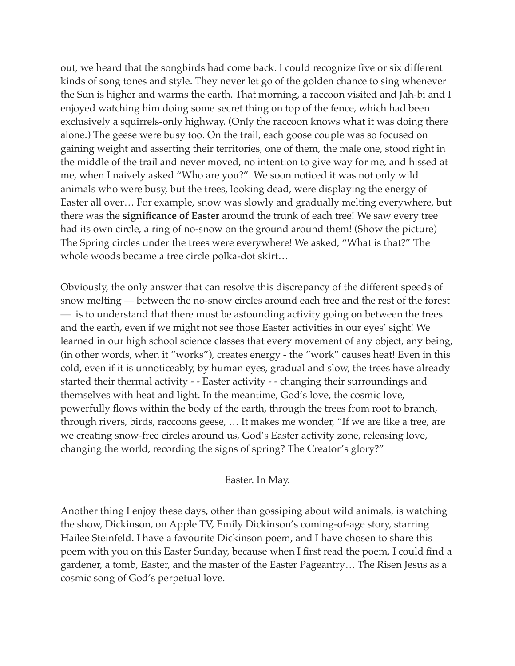out, we heard that the songbirds had come back. I could recognize five or six different kinds of song tones and style. They never let go of the golden chance to sing whenever the Sun is higher and warms the earth. That morning, a raccoon visited and Jah-bi and I enjoyed watching him doing some secret thing on top of the fence, which had been exclusively a squirrels-only highway. (Only the raccoon knows what it was doing there alone.) The geese were busy too. On the trail, each goose couple was so focused on gaining weight and asserting their territories, one of them, the male one, stood right in the middle of the trail and never moved, no intention to give way for me, and hissed at me, when I naively asked "Who are you?". We soon noticed it was not only wild animals who were busy, but the trees, looking dead, were displaying the energy of Easter all over… For example, snow was slowly and gradually melting everywhere, but there was the **significance of Easter** around the trunk of each tree! We saw every tree had its own circle, a ring of no-snow on the ground around them! (Show the picture) The Spring circles under the trees were everywhere! We asked, "What is that?" The whole woods became a tree circle polka-dot skirt…

Obviously, the only answer that can resolve this discrepancy of the different speeds of snow melting — between the no-snow circles around each tree and the rest of the forest — is to understand that there must be astounding activity going on between the trees and the earth, even if we might not see those Easter activities in our eyes' sight! We learned in our high school science classes that every movement of any object, any being, (in other words, when it "works"), creates energy - the "work" causes heat! Even in this cold, even if it is unnoticeably, by human eyes, gradual and slow, the trees have already started their thermal activity - - Easter activity - - changing their surroundings and themselves with heat and light. In the meantime, God's love, the cosmic love, powerfully flows within the body of the earth, through the trees from root to branch, through rivers, birds, raccoons geese, … It makes me wonder, "If we are like a tree, are we creating snow-free circles around us, God's Easter activity zone, releasing love, changing the world, recording the signs of spring? The Creator's glory?"

### Easter. In May.

Another thing I enjoy these days, other than gossiping about wild animals, is watching the show, Dickinson, on Apple TV, Emily Dickinson's coming-of-age story, starring Hailee Steinfeld. I have a favourite Dickinson poem, and I have chosen to share this poem with you on this Easter Sunday, because when I first read the poem, I could find a gardener, a tomb, Easter, and the master of the Easter Pageantry… The Risen Jesus as a cosmic song of God's perpetual love.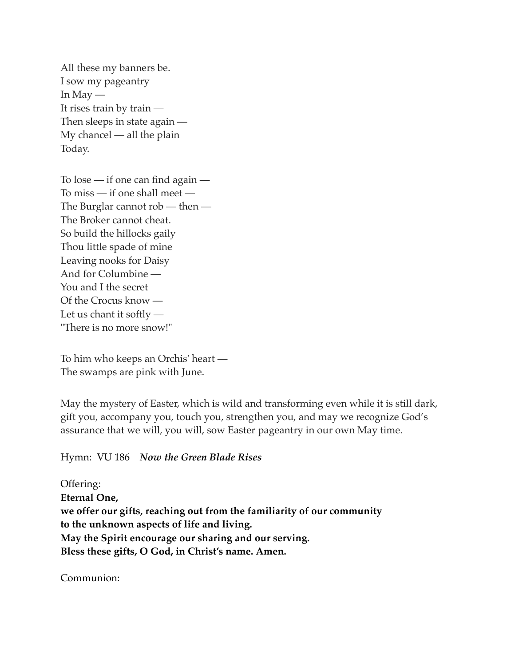All these my banners be. I sow my pageantry In May  $-$ It rises train by train — Then sleeps in state again — My chancel — all the plain Today.

To lose — if one can find again — To miss — if one shall meet — The Burglar cannot rob — then — The Broker cannot cheat. So build the hillocks gaily Thou little spade of mine Leaving nooks for Daisy And for Columbine — You and I the secret Of the Crocus know — Let us chant it softly — "There is no more snow!"

To him who keeps an Orchis' heart — The swamps are pink with June.

May the mystery of Easter, which is wild and transforming even while it is still dark, gift you, accompany you, touch you, strengthen you, and may we recognize God's assurance that we will, you will, sow Easter pageantry in our own May time.

Hymn: VU 186 *Now the Green Blade Rises*

Offering: **Eternal One, we offer our gifts, reaching out from the familiarity of our community to the unknown aspects of life and living. May the Spirit encourage our sharing and our serving. Bless these gifts, O God, in Christ's name. Amen.** 

Communion: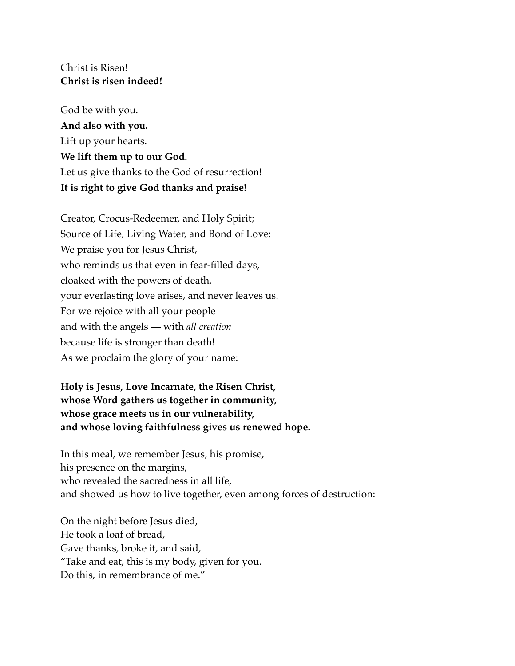## Christ is Risen! **Christ is risen indeed!**

God be with you. **And also with you.** Lift up your hearts. **We lift them up to our God.** Let us give thanks to the God of resurrection! **It is right to give God thanks and praise!**

Creator, Crocus-Redeemer, and Holy Spirit; Source of Life, Living Water, and Bond of Love: We praise you for Jesus Christ, who reminds us that even in fear-filled days, cloaked with the powers of death, your everlasting love arises, and never leaves us. For we rejoice with all your people and with the angels — with *all creation* because life is stronger than death! As we proclaim the glory of your name:

# **Holy is Jesus, Love Incarnate, the Risen Christ, whose Word gathers us together in community, whose grace meets us in our vulnerability, and whose loving faithfulness gives us renewed hope.**

In this meal, we remember Jesus, his promise, his presence on the margins, who revealed the sacredness in all life, and showed us how to live together, even among forces of destruction:

On the night before Jesus died, He took a loaf of bread, Gave thanks, broke it, and said, "Take and eat, this is my body, given for you. Do this, in remembrance of me."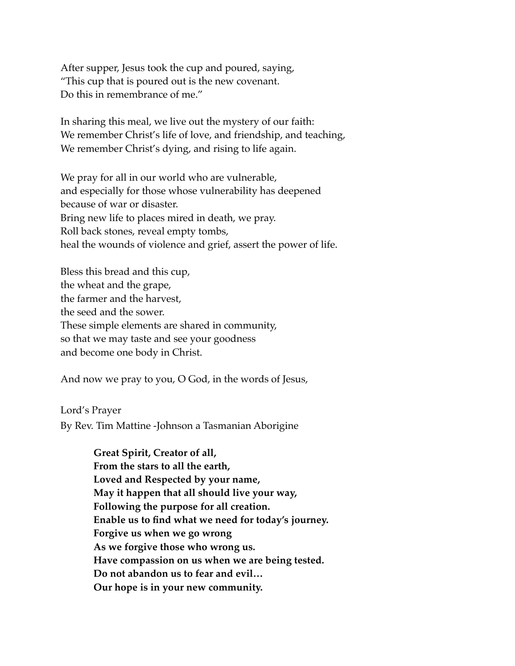After supper, Jesus took the cup and poured, saying, "This cup that is poured out is the new covenant. Do this in remembrance of me."

In sharing this meal, we live out the mystery of our faith: We remember Christ's life of love, and friendship, and teaching, We remember Christ's dying, and rising to life again.

We pray for all in our world who are vulnerable, and especially for those whose vulnerability has deepened because of war or disaster. Bring new life to places mired in death, we pray. Roll back stones, reveal empty tombs, heal the wounds of violence and grief, assert the power of life.

Bless this bread and this cup, the wheat and the grape, the farmer and the harvest, the seed and the sower. These simple elements are shared in community, so that we may taste and see your goodness and become one body in Christ.

And now we pray to you, O God, in the words of Jesus,

Lord's Prayer

By Rev. Tim Mattine -Johnson a Tasmanian Aborigine

**Great Spirit, Creator of all, From the stars to all the earth, Loved and Respected by your name, May it happen that all should live your way, Following the purpose for all creation. Enable us to find what we need for today's journey. Forgive us when we go wrong As we forgive those who wrong us. Have compassion on us when we are being tested. Do not abandon us to fear and evil… Our hope is in your new community.**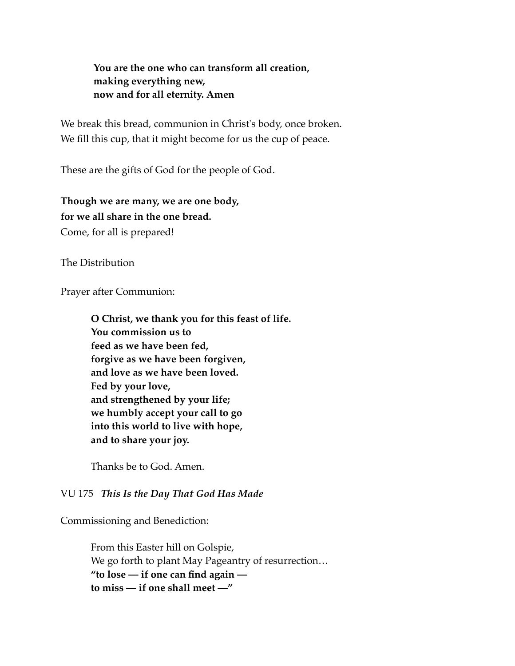**You are the one who can transform all creation, making everything new, now and for all eternity. Amen**

We break this bread, communion in Christ's body, once broken. We fill this cup, that it might become for us the cup of peace.

These are the gifts of God for the people of God.

**Though we are many, we are one body, for we all share in the one bread.** Come, for all is prepared!

The Distribution

Prayer after Communion:

**O Christ, we thank you for this feast of life. You commission us to feed as we have been fed, forgive as we have been forgiven, and love as we have been loved. Fed by your love, and strengthened by your life; we humbly accept your call to go into this world to live with hope, and to share your joy.**

Thanks be to God. Amen.

### VU 175 *This Is the Day That God Has Made*

Commissioning and Benediction:

From this Easter hill on Golspie, We go forth to plant May Pageantry of resurrection… **"to lose — if one can find again to miss — if one shall meet —"**